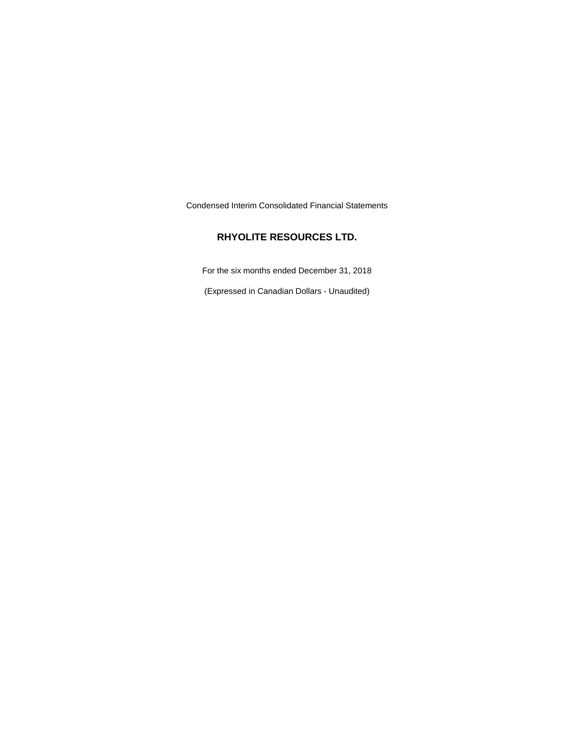Condensed Interim Consolidated Financial Statements

## **RHYOLITE RESOURCES LTD.**

For the six months ended December 31, 2018

(Expressed in Canadian Dollars - Unaudited)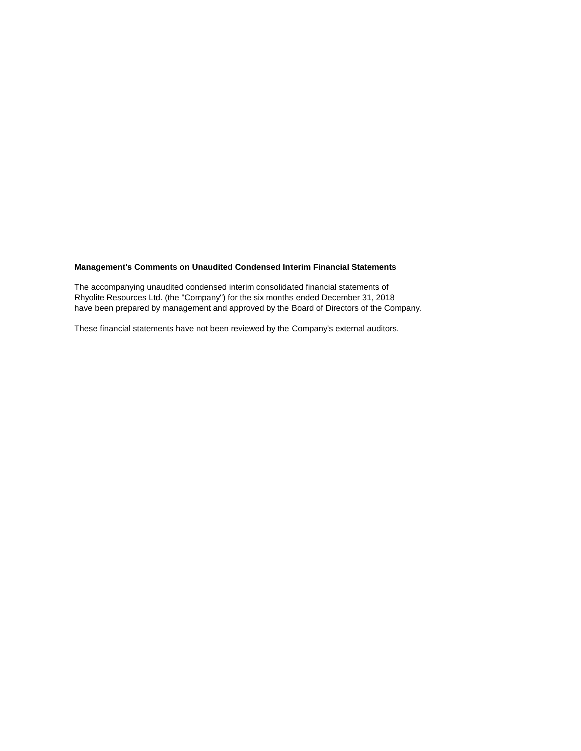## **Management's Comments on Unaudited Condensed Interim Financial Statements**

The accompanying unaudited condensed interim consolidated financial statements of Rhyolite Resources Ltd. (the "Company") for the six months ended December 31, 2018 have been prepared by management and approved by the Board of Directors of the Company.

These financial statements have not been reviewed by the Company's external auditors.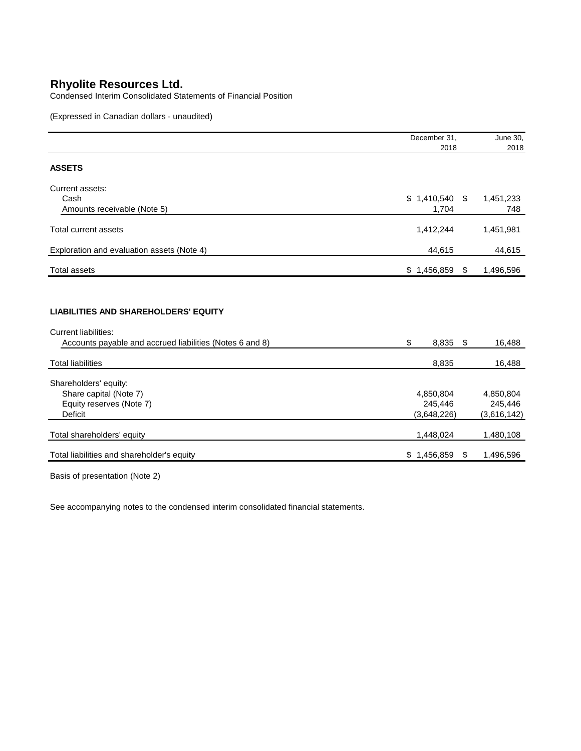Condensed Interim Consolidated Statements of Financial Position

(Expressed in Canadian dollars - unaudited)

|                                                                                                                                        | December 31, |      | June 30,    |
|----------------------------------------------------------------------------------------------------------------------------------------|--------------|------|-------------|
|                                                                                                                                        | 2018         |      | 2018        |
| <b>ASSETS</b>                                                                                                                          |              |      |             |
| Current assets:                                                                                                                        |              |      |             |
| Cash                                                                                                                                   | \$1,410,540  | - \$ | 1,451,233   |
| Amounts receivable (Note 5)                                                                                                            | 1,704        |      | 748         |
| <b>Total current assets</b>                                                                                                            | 1,412,244    |      | 1,451,981   |
| Exploration and evaluation assets (Note 4)                                                                                             | 44,615       |      | 44,615      |
| <b>Total assets</b>                                                                                                                    | \$1,456,859  | \$   | 1,496,596   |
| <b>LIABILITIES AND SHAREHOLDERS' EQUITY</b><br><b>Current liabilities:</b><br>Accounts payable and accrued liabilities (Notes 6 and 8) | \$<br>8,835  | \$   | 16,488      |
| <b>Total liabilities</b>                                                                                                               | 8,835        |      | 16,488      |
| Shareholders' equity:                                                                                                                  |              |      |             |
| Share capital (Note 7)                                                                                                                 | 4,850,804    |      | 4,850,804   |
| Equity reserves (Note 7)                                                                                                               | 245,446      |      | 245,446     |
| <b>Deficit</b>                                                                                                                         | (3,648,226)  |      | (3,616,142) |
| Total shareholders' equity                                                                                                             | 1,448,024    |      | 1,480,108   |
|                                                                                                                                        |              |      |             |

Basis of presentation (Note 2)

See accompanying notes to the condensed interim consolidated financial statements.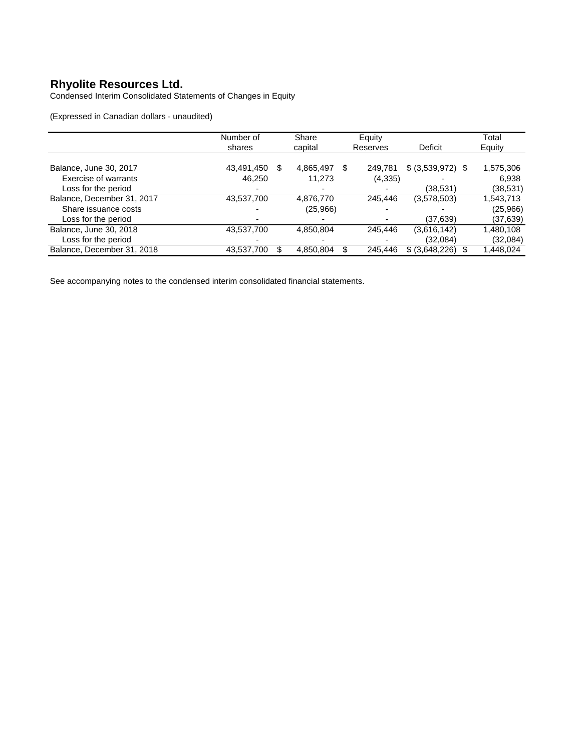Condensed Interim Consolidated Statements of Changes in Equity

(Expressed in Canadian dollars - unaudited)

|                            | Number of         | Share     | Equity       |                    | Total     |
|----------------------------|-------------------|-----------|--------------|--------------------|-----------|
|                            | shares            | capital   | Reserves     | Deficit            | Equity    |
|                            |                   |           |              |                    |           |
| Balance, June 30, 2017     | 43,491,450<br>\$. | 4,865,497 | S<br>249,781 | $$ (3,539,972)$ \$ | 1,575,306 |
| Exercise of warrants       | 46,250            | 11,273    | (4,335)      |                    | 6,938     |
| Loss for the period        |                   |           |              | (38,531)           | (38,531)  |
| Balance, December 31, 2017 | 43,537,700        | 4,876,770 | 245.446      | (3,578,503)        | 1,543,713 |
| Share issuance costs       |                   | (25,966)  |              |                    | (25,966)  |
| Loss for the period        |                   |           |              | (37,639)           | (37,639)  |
| Balance, June 30, 2018     | 43,537,700        | 4,850,804 | 245.446      | (3,616,142)        | 1,480,108 |
| Loss for the period        |                   |           |              | (32,084)           | (32,084)  |
| Balance, December 31, 2018 | 43,537,700        | 4,850,804 | 245.446<br>S | \$ (3,648,226)     | 1,448,024 |

See accompanying notes to the condensed interim consolidated financial statements.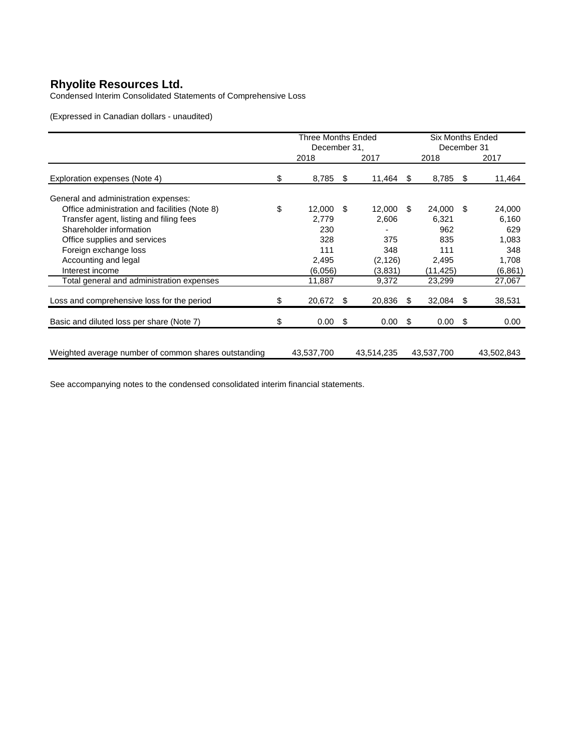Condensed Interim Consolidated Statements of Comprehensive Loss

(Expressed in Canadian dollars - unaudited)

|                                                      | Three Months Ended |    |            | <b>Six Months Ended</b> |             |      |            |  |
|------------------------------------------------------|--------------------|----|------------|-------------------------|-------------|------|------------|--|
|                                                      | December 31,       |    |            |                         | December 31 |      |            |  |
|                                                      | 2018               |    | 2017       |                         | 2018        |      | 2017       |  |
| Exploration expenses (Note 4)                        | \$<br>8,785        | S  | 11,464     | \$                      | 8,785       | -S   | 11,464     |  |
| General and administration expenses:                 |                    |    |            |                         |             |      |            |  |
| Office administration and facilities (Note 8)        | \$<br>12.000       | \$ | 12,000     | \$.                     | 24,000      | - \$ | 24,000     |  |
| Transfer agent, listing and filing fees              | 2,779              |    | 2,606      |                         | 6,321       |      | 6,160      |  |
| Shareholder information                              | 230                |    |            |                         | 962         |      | 629        |  |
| Office supplies and services                         | 328                |    | 375        |                         | 835         |      | 1,083      |  |
| Foreign exchange loss                                | 111                |    | 348        |                         | 111         |      | 348        |  |
| Accounting and legal                                 | 2,495              |    | (2, 126)   |                         | 2,495       |      | 1,708      |  |
| Interest income                                      | (6,056)            |    | (3,831)    |                         | (11,425)    |      | (6, 861)   |  |
| Total general and administration expenses            | 11,887             |    | 9,372      |                         | 23,299      |      | 27,067     |  |
| Loss and comprehensive loss for the period           | \$<br>20,672       | S  | 20,836     | S                       | 32,084      | - \$ | 38,531     |  |
| Basic and diluted loss per share (Note 7)            | \$<br>0.00         | \$ | 0.00       | \$                      | 0.00        | -\$  | 0.00       |  |
|                                                      |                    |    |            |                         |             |      |            |  |
| Weighted average number of common shares outstanding | 43,537,700         |    | 43,514,235 |                         | 43,537,700  |      | 43,502,843 |  |

See accompanying notes to the condensed consolidated interim financial statements.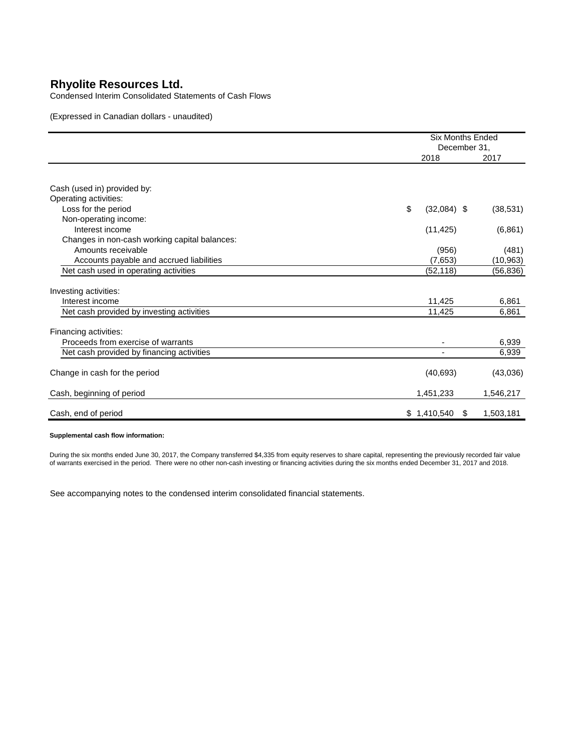Condensed Interim Consolidated Statements of Cash Flows

(Expressed in Canadian dollars - unaudited)

|                                                      | <b>Six Months Ended</b><br>December 31, |                  |  |
|------------------------------------------------------|-----------------------------------------|------------------|--|
|                                                      | 2018                                    | 2017             |  |
|                                                      |                                         |                  |  |
| Cash (used in) provided by:<br>Operating activities: |                                         |                  |  |
| Loss for the period                                  | \$<br>$(32,084)$ \$                     | (38, 531)        |  |
| Non-operating income:                                |                                         |                  |  |
| Interest income                                      | (11, 425)                               | (6,861)          |  |
| Changes in non-cash working capital balances:        |                                         |                  |  |
| Amounts receivable                                   | (956)                                   | (481)            |  |
| Accounts payable and accrued liabilities             | (7,653)                                 | (10, 963)        |  |
| Net cash used in operating activities                | (52, 118)                               | (56, 836)        |  |
|                                                      |                                         |                  |  |
| Investing activities:                                |                                         |                  |  |
| Interest income                                      | 11,425                                  | 6,861            |  |
| Net cash provided by investing activities            | 11,425                                  | 6,861            |  |
| Financing activities:                                |                                         |                  |  |
| Proceeds from exercise of warrants                   |                                         | 6,939            |  |
| Net cash provided by financing activities            |                                         | 6,939            |  |
| Change in cash for the period                        | (40, 693)                               | (43,036)         |  |
| Cash, beginning of period                            | 1,451,233                               | 1,546,217        |  |
| Cash, end of period                                  | \$1,410,540                             | 1,503,181<br>\$. |  |

#### **Supplemental cash flow information:**

During the six months ended June 30, 2017, the Company transferred \$4,335 from equity reserves to share capital, representing the previously recorded fair value of warrants exercised in the period. There were no other non-cash investing or financing activities during the six months ended December 31, 2017 and 2018.

See accompanying notes to the condensed interim consolidated financial statements.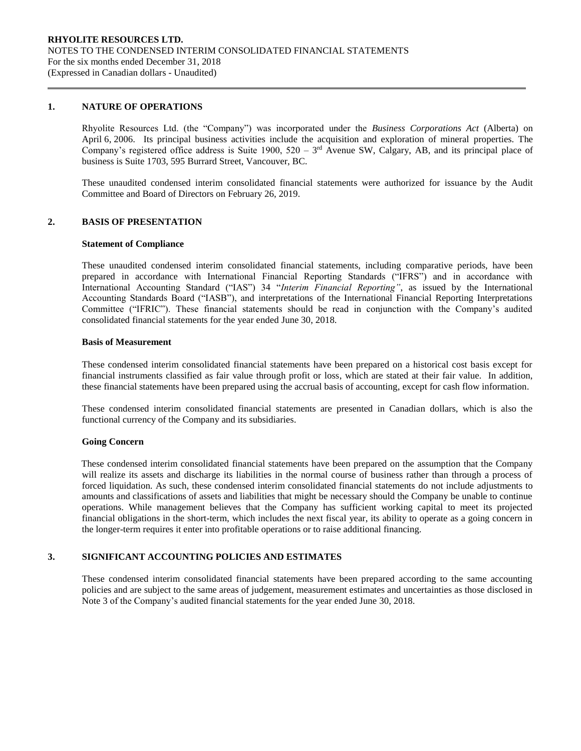## **1. NATURE OF OPERATIONS**

Rhyolite Resources Ltd. (the "Company") was incorporated under the *Business Corporations Act* (Alberta) on April 6, 2006. Its principal business activities include the acquisition and exploration of mineral properties. The Company's registered office address is Suite 1900,  $520 - 3<sup>rd</sup>$  Avenue SW, Calgary, AB, and its principal place of business is Suite 1703, 595 Burrard Street, Vancouver, BC.

These unaudited condensed interim consolidated financial statements were authorized for issuance by the Audit Committee and Board of Directors on February 26, 2019.

## **2. BASIS OF PRESENTATION**

#### **Statement of Compliance**

These unaudited condensed interim consolidated financial statements, including comparative periods, have been prepared in accordance with International Financial Reporting Standards ("IFRS") and in accordance with International Accounting Standard ("IAS") 34 "*Interim Financial Reporting"*, as issued by the International Accounting Standards Board ("IASB"), and interpretations of the International Financial Reporting Interpretations Committee ("IFRIC"). These financial statements should be read in conjunction with the Company's audited consolidated financial statements for the year ended June 30, 2018.

#### **Basis of Measurement**

These condensed interim consolidated financial statements have been prepared on a historical cost basis except for financial instruments classified as fair value through profit or loss, which are stated at their fair value. In addition, these financial statements have been prepared using the accrual basis of accounting, except for cash flow information.

These condensed interim consolidated financial statements are presented in Canadian dollars, which is also the functional currency of the Company and its subsidiaries.

#### **Going Concern**

These condensed interim consolidated financial statements have been prepared on the assumption that the Company will realize its assets and discharge its liabilities in the normal course of business rather than through a process of forced liquidation. As such, these condensed interim consolidated financial statements do not include adjustments to amounts and classifications of assets and liabilities that might be necessary should the Company be unable to continue operations. While management believes that the Company has sufficient working capital to meet its projected financial obligations in the short-term, which includes the next fiscal year, its ability to operate as a going concern in the longer-term requires it enter into profitable operations or to raise additional financing.

## **3. SIGNIFICANT ACCOUNTING POLICIES AND ESTIMATES**

These condensed interim consolidated financial statements have been prepared according to the same accounting policies and are subject to the same areas of judgement, measurement estimates and uncertainties as those disclosed in Note 3 of the Company's audited financial statements for the year ended June 30, 2018.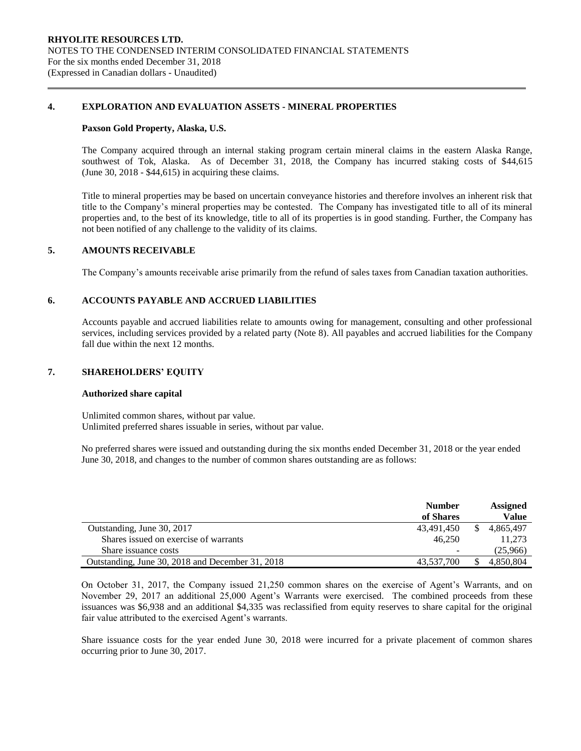## **4. EXPLORATION AND EVALUATION ASSETS - MINERAL PROPERTIES**

#### **Paxson Gold Property, Alaska, U.S.**

The Company acquired through an internal staking program certain mineral claims in the eastern Alaska Range, southwest of Tok, Alaska. As of December 31, 2018, the Company has incurred staking costs of \$44,615 (June 30, 2018 - \$44,615) in acquiring these claims.

Title to mineral properties may be based on uncertain conveyance histories and therefore involves an inherent risk that title to the Company's mineral properties may be contested. The Company has investigated title to all of its mineral properties and, to the best of its knowledge, title to all of its properties is in good standing. Further, the Company has not been notified of any challenge to the validity of its claims.

## **5. AMOUNTS RECEIVABLE**

The Company's amounts receivable arise primarily from the refund of sales taxes from Canadian taxation authorities.

## **6. ACCOUNTS PAYABLE AND ACCRUED LIABILITIES**

Accounts payable and accrued liabilities relate to amounts owing for management, consulting and other professional services, including services provided by a related party (Note 8). All payables and accrued liabilities for the Company fall due within the next 12 months.

## **7. SHAREHOLDERS' EQUITY**

#### **Authorized share capital**

Unlimited common shares, without par value. Unlimited preferred shares issuable in series, without par value.

No preferred shares were issued and outstanding during the six months ended December 31, 2018 or the year ended June 30, 2018, and changes to the number of common shares outstanding are as follows:

|                                                  | <b>Number</b>            | <b>Assigned</b> |
|--------------------------------------------------|--------------------------|-----------------|
|                                                  | of Shares                | <b>Value</b>    |
| Outstanding, June 30, 2017                       | 43,491,450               | 4.865.497       |
| Shares issued on exercise of warrants            | 46.250                   | 11.273          |
| Share issuance costs                             | $\overline{\phantom{0}}$ | (25,966)        |
| Outstanding, June 30, 2018 and December 31, 2018 | 43.537.700               | 4.850.804       |

On October 31, 2017, the Company issued 21,250 common shares on the exercise of Agent's Warrants, and on November 29, 2017 an additional 25,000 Agent's Warrants were exercised. The combined proceeds from these issuances was \$6,938 and an additional \$4,335 was reclassified from equity reserves to share capital for the original fair value attributed to the exercised Agent's warrants.

Share issuance costs for the year ended June 30, 2018 were incurred for a private placement of common shares occurring prior to June 30, 2017.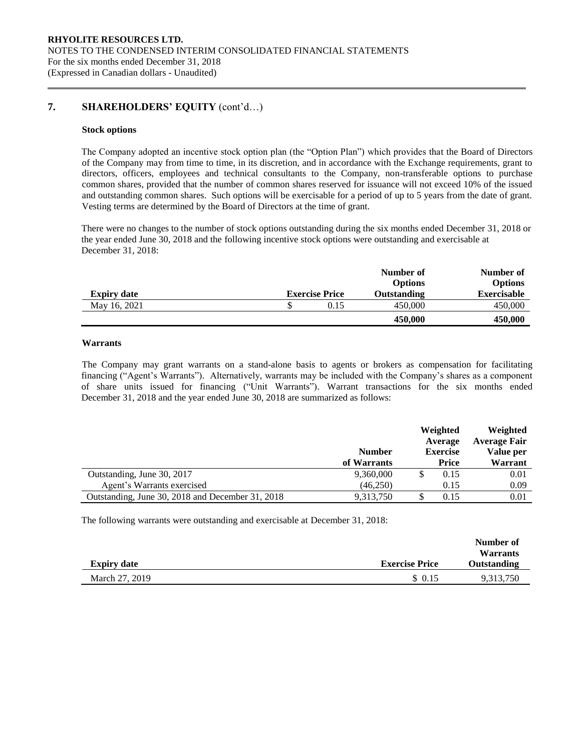## **7. SHAREHOLDERS' EQUITY** (cont'd…)

#### **Stock options**

The Company adopted an incentive stock option plan (the "Option Plan") which provides that the Board of Directors of the Company may from time to time, in its discretion, and in accordance with the Exchange requirements, grant to directors, officers, employees and technical consultants to the Company, non-transferable options to purchase common shares, provided that the number of common shares reserved for issuance will not exceed 10% of the issued and outstanding common shares. Such options will be exercisable for a period of up to 5 years from the date of grant. Vesting terms are determined by the Board of Directors at the time of grant.

There were no changes to the number of stock options outstanding during the six months ended December 31, 2018 or the year ended June 30, 2018 and the following incentive stock options were outstanding and exercisable at December 31, 2018:

|                    |                       | Number of<br><b>Options</b> | Number of<br><b>Options</b> |
|--------------------|-----------------------|-----------------------------|-----------------------------|
| <b>Expiry date</b> | <b>Exercise Price</b> | <b>Outstanding</b>          | <b>Exercisable</b>          |
| May 16, 2021       | 0.15                  | 450,000                     | 450,000                     |
|                    |                       | 450,000                     | 450,000                     |

## **Warrants**

The Company may grant warrants on a stand-alone basis to agents or brokers as compensation for facilitating financing ("Agent's Warrants"). Alternatively, warrants may be included with the Company's shares as a component of share units issued for financing ("Unit Warrants"). Warrant transactions for the six months ended December 31, 2018 and the year ended June 30, 2018 are summarized as follows:

|                                                  | <b>Number</b> | Weighted<br>Average<br><b>Exercise</b> |              | Weighted<br><b>Average Fair</b><br>Value per |
|--------------------------------------------------|---------------|----------------------------------------|--------------|----------------------------------------------|
|                                                  | of Warrants   |                                        | <b>Price</b> | Warrant                                      |
| Outstanding, June 30, 2017                       | 9,360,000     |                                        | 0.15         | 0.01                                         |
| Agent's Warrants exercised                       | (46,250)      |                                        | 0.15         | 0.09                                         |
| Outstanding, June 30, 2018 and December 31, 2018 | 9,313,750     |                                        | 0.15         | 0.01                                         |

The following warrants were outstanding and exercisable at December 31, 2018:

| <b>Expiry date</b> | <b>Exercise Price</b> | Number of<br><b>Warrants</b><br>Outstanding |
|--------------------|-----------------------|---------------------------------------------|
|                    |                       |                                             |
| March 27, 2019     | \$ 0.15               | 9,313,750                                   |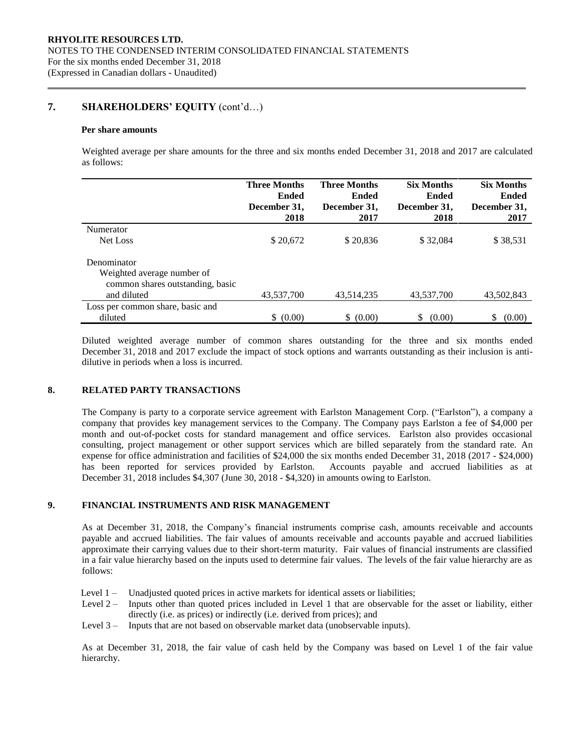## **7. SHAREHOLDERS' EQUITY** (cont'd…)

#### **Per share amounts**

Weighted average per share amounts for the three and six months ended December 31, 2018 and 2017 are calculated as follows:

|                                  | <b>Three Months</b><br><b>Ended</b> | <b>Three Months</b><br>Ended | <b>Six Months</b><br><b>Ended</b> | <b>Six Months</b><br><b>Ended</b> |
|----------------------------------|-------------------------------------|------------------------------|-----------------------------------|-----------------------------------|
|                                  | December 31,                        | December 31,                 | December 31,                      | December 31,                      |
| Numerator                        | 2018                                | 2017                         | 2018                              | 2017                              |
|                                  |                                     |                              |                                   |                                   |
| Net Loss                         | \$20,672                            | \$20,836                     | \$32,084                          | \$38,531                          |
| Denominator                      |                                     |                              |                                   |                                   |
| Weighted average number of       |                                     |                              |                                   |                                   |
| common shares outstanding, basic |                                     |                              |                                   |                                   |
| and diluted                      | 43,537,700                          | 43,514,235                   | 43,537,700                        | 43,502,843                        |
| Loss per common share, basic and |                                     |                              |                                   |                                   |
| diluted                          | \$ (0.00)                           | \$ (0.00)                    | (0.00)                            | \$<br>(0.00)                      |

Diluted weighted average number of common shares outstanding for the three and six months ended December 31, 2018 and 2017 exclude the impact of stock options and warrants outstanding as their inclusion is antidilutive in periods when a loss is incurred.

## **8. RELATED PARTY TRANSACTIONS**

The Company is party to a corporate service agreement with Earlston Management Corp. ("Earlston"), a company a company that provides key management services to the Company. The Company pays Earlston a fee of \$4,000 per month and out-of-pocket costs for standard management and office services. Earlston also provides occasional consulting, project management or other support services which are billed separately from the standard rate. An expense for office administration and facilities of \$24,000 the six months ended December 31, 2018 (2017 - \$24,000) has been reported for services provided by Earlston. Accounts payable and accrued liabilities as at December 31, 2018 includes \$4,307 (June 30, 2018 - \$4,320) in amounts owing to Earlston.

## **9. FINANCIAL INSTRUMENTS AND RISK MANAGEMENT**

As at December 31, 2018, the Company's financial instruments comprise cash, amounts receivable and accounts payable and accrued liabilities. The fair values of amounts receivable and accounts payable and accrued liabilities approximate their carrying values due to their short-term maturity. Fair values of financial instruments are classified in a fair value hierarchy based on the inputs used to determine fair values. The levels of the fair value hierarchy are as follows:

- Level 1 Unadjusted quoted prices in active markets for identical assets or liabilities;
- Level 2 Inputs other than quoted prices included in Level 1 that are observable for the asset or liability, either directly (i.e. as prices) or indirectly (i.e. derived from prices); and
- Level 3 Inputs that are not based on observable market data (unobservable inputs).

As at December 31, 2018, the fair value of cash held by the Company was based on Level 1 of the fair value hierarchy.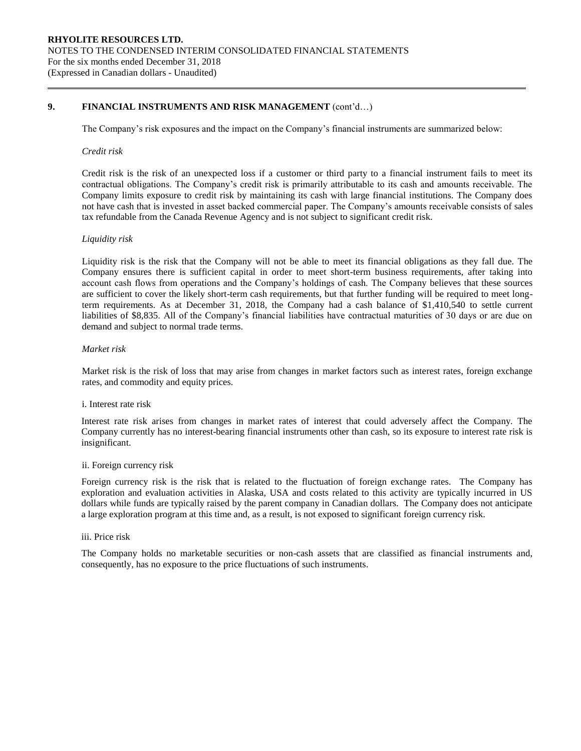## **9. FINANCIAL INSTRUMENTS AND RISK MANAGEMENT** (cont'd…)

The Company's risk exposures and the impact on the Company's financial instruments are summarized below:

#### *Credit risk*

Credit risk is the risk of an unexpected loss if a customer or third party to a financial instrument fails to meet its contractual obligations. The Company's credit risk is primarily attributable to its cash and amounts receivable. The Company limits exposure to credit risk by maintaining its cash with large financial institutions. The Company does not have cash that is invested in asset backed commercial paper. The Company's amounts receivable consists of sales tax refundable from the Canada Revenue Agency and is not subject to significant credit risk.

#### *Liquidity risk*

Liquidity risk is the risk that the Company will not be able to meet its financial obligations as they fall due. The Company ensures there is sufficient capital in order to meet short-term business requirements, after taking into account cash flows from operations and the Company's holdings of cash. The Company believes that these sources are sufficient to cover the likely short-term cash requirements, but that further funding will be required to meet longterm requirements. As at December 31, 2018, the Company had a cash balance of \$1,410,540 to settle current liabilities of \$8,835. All of the Company's financial liabilities have contractual maturities of 30 days or are due on demand and subject to normal trade terms.

## *Market risk*

Market risk is the risk of loss that may arise from changes in market factors such as interest rates, foreign exchange rates, and commodity and equity prices.

#### i. Interest rate risk

Interest rate risk arises from changes in market rates of interest that could adversely affect the Company. The Company currently has no interest-bearing financial instruments other than cash, so its exposure to interest rate risk is insignificant.

#### ii. Foreign currency risk

Foreign currency risk is the risk that is related to the fluctuation of foreign exchange rates. The Company has exploration and evaluation activities in Alaska, USA and costs related to this activity are typically incurred in US dollars while funds are typically raised by the parent company in Canadian dollars. The Company does not anticipate a large exploration program at this time and, as a result, is not exposed to significant foreign currency risk.

## iii. Price risk

The Company holds no marketable securities or non-cash assets that are classified as financial instruments and, consequently, has no exposure to the price fluctuations of such instruments.